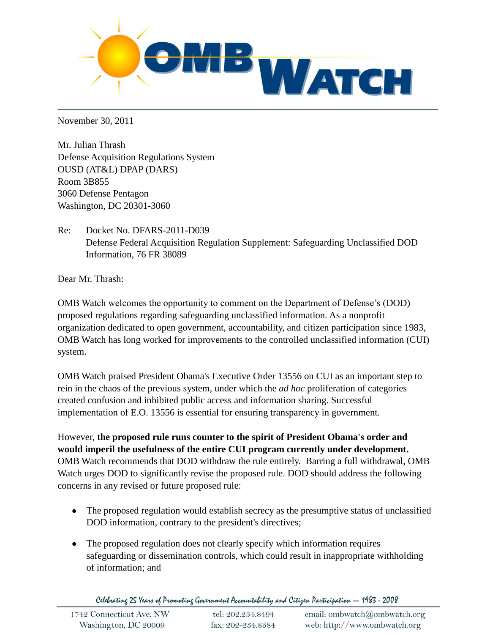

November 30, 2011

Mr. Julian Thrash Defense Acquisition Regulations System OUSD (AT&L) DPAP (DARS) Room 3B855 3060 Defense Pentagon Washington, DC 20301-3060

Re: Docket No. DFARS-2011-D039 Defense Federal Acquisition Regulation Supplement: Safeguarding Unclassified DOD Information, 76 FR 38089

Dear Mr. Thrash:

OMB Watch welcomes the opportunity to comment on the Department of Defense's (DOD) proposed regulations regarding safeguarding unclassified information. As a nonprofit organization dedicated to open government, accountability, and citizen participation since 1983, OMB Watch has long worked for improvements to the controlled unclassified information (CUI) system.

OMB Watch praised President Obama's Executive Order 13556 on CUI as an important step to rein in the chaos of the previous system, under which the *ad hoc* proliferation of categories created confusion and inhibited public access and information sharing. Successful implementation of E.O. 13556 is essential for ensuring transparency in government.

However, **the proposed rule runs counter to the spirit of President Obama's order and would imperil the usefulness of the entire CUI program currently under development.** OMB Watch recommends that DOD withdraw the rule entirely. Barring a full withdrawal, OMB Watch urges DOD to significantly revise the proposed rule. DOD should address the following concerns in any revised or future proposed rule:

- The proposed regulation would establish secrecy as the presumptive status of unclassified DOD information, contrary to the president's directives;
- The proposed regulation does not clearly specify which information requires safeguarding or dissemination controls, which could result in inappropriate withholding of information; and

Celebrating 25 Years of Promoting Government Accountability and Citizen Participation - 1983 - 2008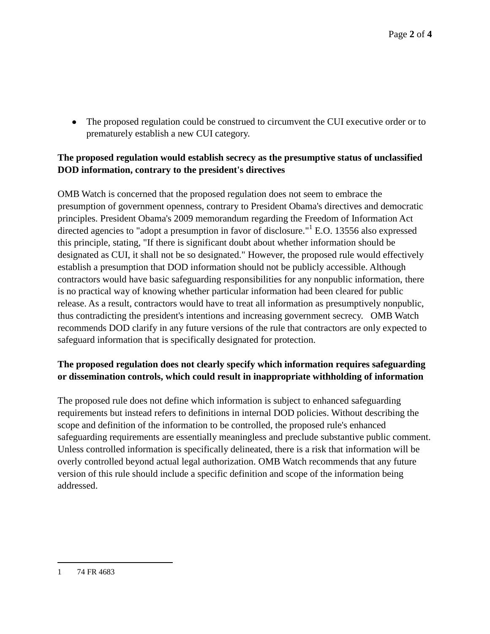• The proposed regulation could be construed to circumvent the CUI executive order or to prematurely establish a new CUI category.

## **The proposed regulation would establish secrecy as the presumptive status of unclassified DOD information, contrary to the president's directives**

OMB Watch is concerned that the proposed regulation does not seem to embrace the presumption of government openness, contrary to President Obama's directives and democratic principles. President Obama's 2009 memorandum regarding the Freedom of Information Act directed agencies to "adopt a presumption in favor of disclosure."<sup>1</sup> E.O. 13556 also expressed this principle, stating, "If there is significant doubt about whether information should be designated as CUI, it shall not be so designated." However, the proposed rule would effectively establish a presumption that DOD information should not be publicly accessible. Although contractors would have basic safeguarding responsibilities for any nonpublic information, there is no practical way of knowing whether particular information had been cleared for public release. As a result, contractors would have to treat all information as presumptively nonpublic, thus contradicting the president's intentions and increasing government secrecy. OMB Watch recommends DOD clarify in any future versions of the rule that contractors are only expected to safeguard information that is specifically designated for protection.

## **The proposed regulation does not clearly specify which information requires safeguarding or dissemination controls, which could result in inappropriate withholding of information**

The proposed rule does not define which information is subject to enhanced safeguarding requirements but instead refers to definitions in internal DOD policies. Without describing the scope and definition of the information to be controlled, the proposed rule's enhanced safeguarding requirements are essentially meaningless and preclude substantive public comment. Unless controlled information is specifically delineated, there is a risk that information will be overly controlled beyond actual legal authorization. OMB Watch recommends that any future version of this rule should include a specific definition and scope of the information being addressed.

 $\overline{a}$ 

<sup>1 74</sup> FR 4683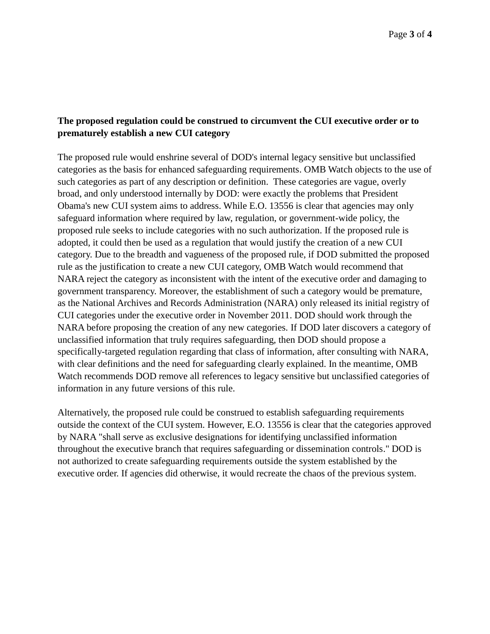## **The proposed regulation could be construed to circumvent the CUI executive order or to prematurely establish a new CUI category**

The proposed rule would enshrine several of DOD's internal legacy sensitive but unclassified categories as the basis for enhanced safeguarding requirements. OMB Watch objects to the use of such categories as part of any description or definition. These categories are vague, overly broad, and only understood internally by DOD: were exactly the problems that President Obama's new CUI system aims to address. While E.O. 13556 is clear that agencies may only safeguard information where required by law, regulation, or government-wide policy, the proposed rule seeks to include categories with no such authorization. If the proposed rule is adopted, it could then be used as a regulation that would justify the creation of a new CUI category. Due to the breadth and vagueness of the proposed rule, if DOD submitted the proposed rule as the justification to create a new CUI category, OMB Watch would recommend that NARA reject the category as inconsistent with the intent of the executive order and damaging to government transparency. Moreover, the establishment of such a category would be premature, as the National Archives and Records Administration (NARA) only released its initial registry of CUI categories under the executive order in November 2011. DOD should work through the NARA before proposing the creation of any new categories. If DOD later discovers a category of unclassified information that truly requires safeguarding, then DOD should propose a specifically-targeted regulation regarding that class of information, after consulting with NARA, with clear definitions and the need for safeguarding clearly explained. In the meantime, OMB Watch recommends DOD remove all references to legacy sensitive but unclassified categories of information in any future versions of this rule.

Alternatively, the proposed rule could be construed to establish safeguarding requirements outside the context of the CUI system. However, E.O. 13556 is clear that the categories approved by NARA "shall serve as exclusive designations for identifying unclassified information throughout the executive branch that requires safeguarding or dissemination controls." DOD is not authorized to create safeguarding requirements outside the system established by the executive order. If agencies did otherwise, it would recreate the chaos of the previous system.